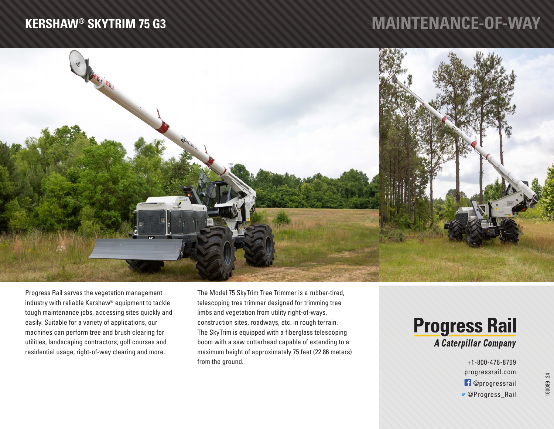## **KERSHAW® SKYTRIM 75 G3**

## **MAINTENANCE-OF-WAY**



Progress Rail serves the vegetation management industry with reliable Kershaw® equipment to tackle tough maintenance jobs, accessing sites quickly and easily. Suitable for a variety of applications, our machines can perform tree and brush clearing for utilities, landscaping contractors, golf courses and residential usage, right-of-way clearing and more.

The Model 75 SkyTrim Tree Trimmer is a rubber-tired, telescoping tree trimmer designed for trimming tree limbs and vegetation from utility right-of-ways, construction sites, roadways, etc. in rough terrain. The SkyTrim is equipped with a fiberglass telescoping boom with a saw cutterhead capable of extending to a maximum height of approximately 75 feet (22.86 meters) from the ground.

## **Progress Rail** A Caterpillar Company

+1-800-476-8769 progressrail.com @progressrail @Progress\_Rail